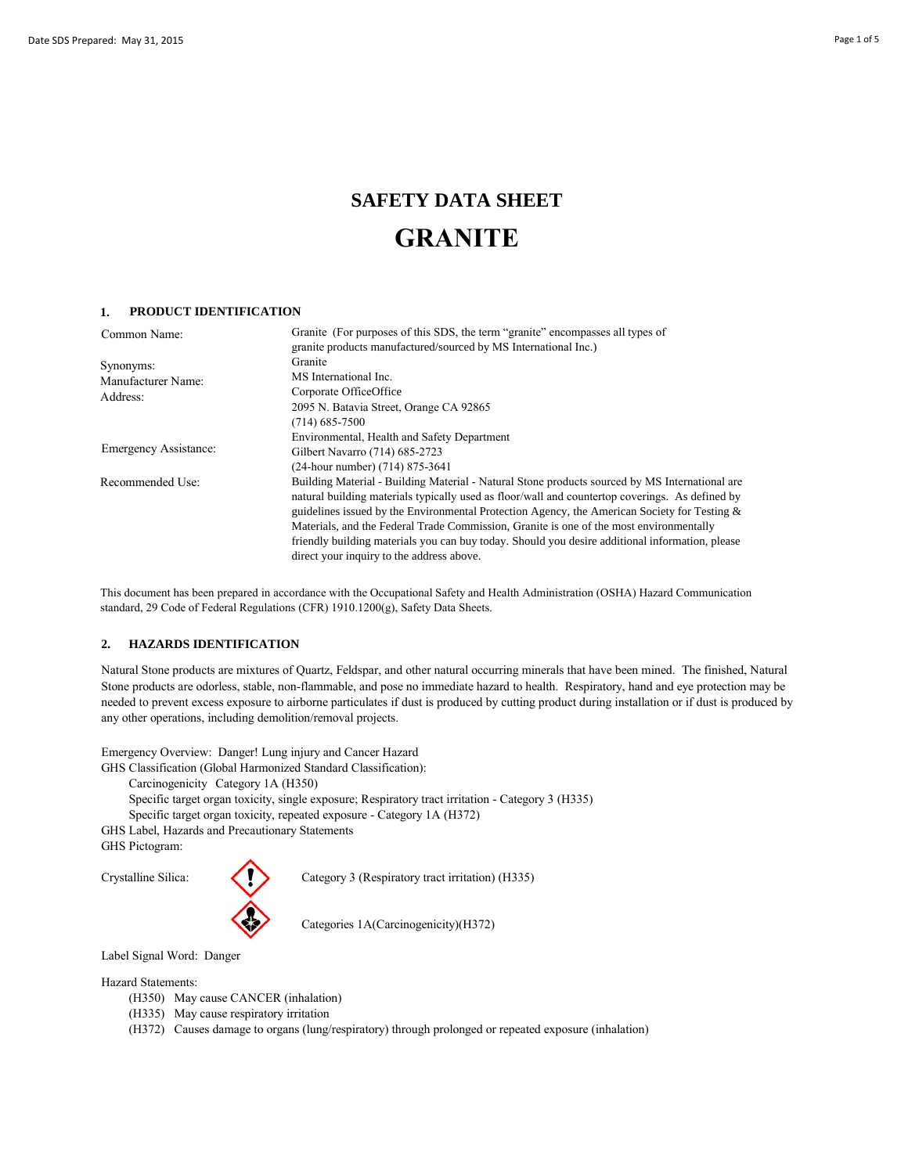# **SAFETY DATA SHEET GRANITE**

# **1. PRODUCT IDENTIFICATION**

| Common Name:          | Granite (For purposes of this SDS, the term "granite" encompasses all types of                                                                                                                                                                                                                    |
|-----------------------|---------------------------------------------------------------------------------------------------------------------------------------------------------------------------------------------------------------------------------------------------------------------------------------------------|
|                       | granite products manufactured/sourced by MS International Inc.)                                                                                                                                                                                                                                   |
| Synonyms:             | Granite                                                                                                                                                                                                                                                                                           |
| Manufacturer Name:    | MS International Inc.                                                                                                                                                                                                                                                                             |
| Address:              | Corporate OfficeOffice                                                                                                                                                                                                                                                                            |
|                       | 2095 N. Batavia Street, Orange CA 92865                                                                                                                                                                                                                                                           |
|                       | $(714)$ 685-7500                                                                                                                                                                                                                                                                                  |
| Emergency Assistance: | Environmental, Health and Safety Department                                                                                                                                                                                                                                                       |
|                       | Gilbert Navarro (714) 685-2723                                                                                                                                                                                                                                                                    |
|                       | (24-hour number) (714) 875-3641                                                                                                                                                                                                                                                                   |
| Recommended Use:      | Building Material - Building Material - Natural Stone products sourced by MS International are<br>natural building materials typically used as floor/wall and countertop coverings. As defined by<br>guidelines issued by the Environmental Protection Agency, the American Society for Testing & |
|                       | Materials, and the Federal Trade Commission, Granite is one of the most environmentally                                                                                                                                                                                                           |
|                       | friendly building materials you can buy today. Should you desire additional information, please                                                                                                                                                                                                   |
|                       | direct your inquiry to the address above.                                                                                                                                                                                                                                                         |

This document has been prepared in accordance with the Occupational Safety and Health Administration (OSHA) Hazard Communication standard, 29 Code of Federal Regulations (CFR) 1910.1200(g), Safety Data Sheets.

# **2. HAZARDS IDENTIFICATION**

Natural Stone products are mixtures of Quartz, Feldspar, and other natural occurring minerals that have been mined. The finished, Natural Stone products are odorless, stable, non-flammable, and pose no immediate hazard to health. Respiratory, hand and eye protection may be needed to prevent excess exposure to airborne particulates if dust is produced by cutting product during installation or if dust is produced by any other operations, including demolition/removal projects.

Emergency Overview: Danger! Lung injury and Cancer Hazard GHS Classification (Global Harmonized Standard Classification):

Carcinogenicity Category 1A (H350)

Specific target organ toxicity, single exposure; Respiratory tract irritation - Category 3 (H335)

Specific target organ toxicity, repeated exposure - Category 1A (H372)

GHS Label, Hazards and Precautionary Statements

GHS Pictogram:

Crystalline Silica: Category 3 (Respiratory tract irritation) (H335)

Categories 1A(Carcinogenicity)(H372)

Label Signal Word: Danger

Hazard Statements:

- (H350) May cause CANCER (inhalation)
- (H335) May cause respiratory irritation
- (H372) Causes damage to organs (lung/respiratory) through prolonged or repeated exposure (inhalation)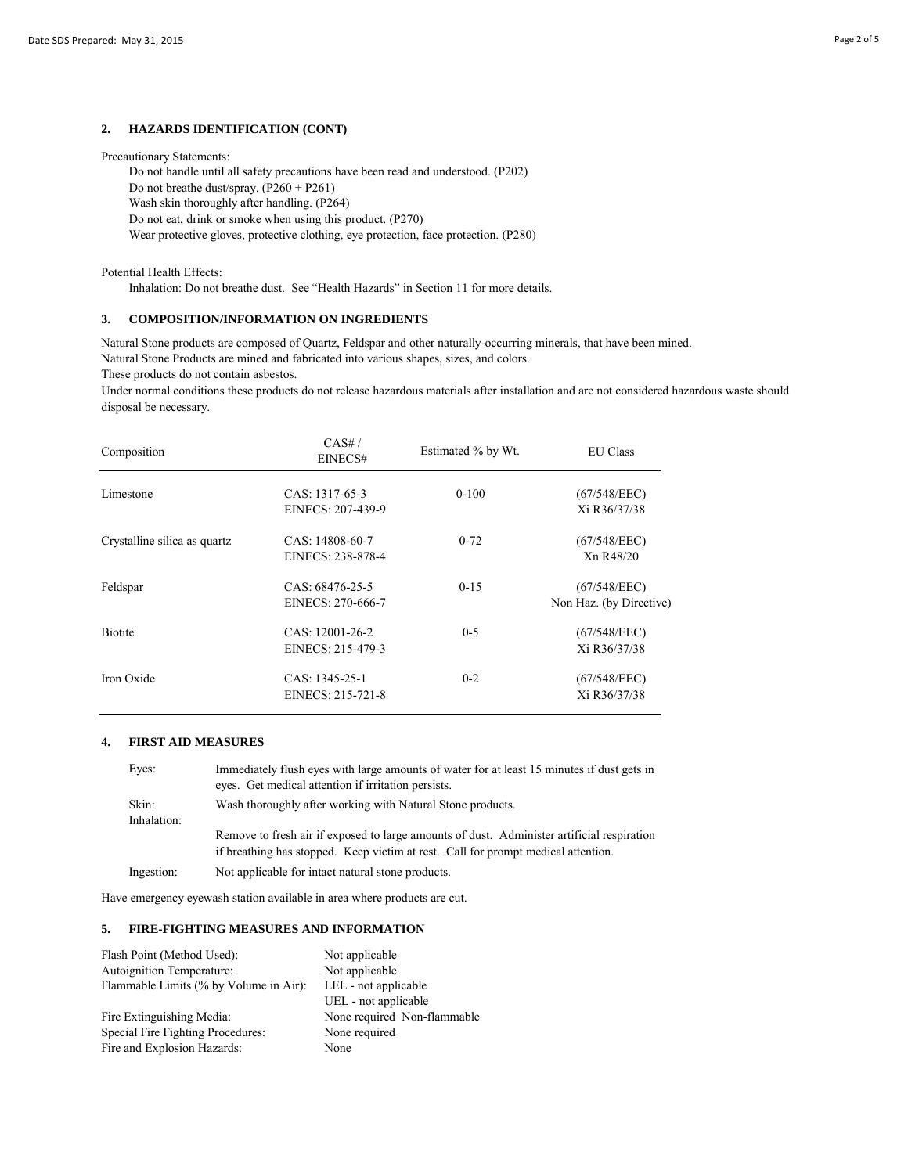## **2. HAZARDS IDENTIFICATION (CONT)**

#### Precautionary Statements:

Do not handle until all safety precautions have been read and understood. (P202)

Do not breathe dust/spray. (P260 + P261)

Wash skin thoroughly after handling. (P264)

Do not eat, drink or smoke when using this product. (P270)

Wear protective gloves, protective clothing, eye protection, face protection. (P280)

## Potential Health Effects:

Inhalation: Do not breathe dust. See "Health Hazards" in Section 11 for more details.

# **3. COMPOSITION/INFORMATION ON INGREDIENTS**

Natural Stone Products are mined and fabricated into various shapes, sizes, and colors. Natural Stone products are composed of Quartz, Feldspar and other naturally-occurring minerals, that have been mined.

These products do not contain asbestos.

Under normal conditions these products do not release hazardous materials after installation and are not considered hazardous waste should disposal be necessary.

| Composition                  | CAS#/<br>EINECS#                       | Estimated % by Wt. | <b>EU Class</b>                         |
|------------------------------|----------------------------------------|--------------------|-----------------------------------------|
| Limestone                    | CAS: 1317-65-3<br>EINECS: 207-439-9    | $0 - 100$          | (67/548/EEC)<br>Xi R36/37/38            |
| Crystalline silica as quartz | $CAS: 14808-60-7$<br>EINECS: 238-878-4 | $0 - 72$           | (67/548/EEC)<br>Xn R48/20               |
| Feldspar                     | $CAS: 68476-25-5$<br>EINECS: 270-666-7 | $0 - 15$           | (67/548/EEC)<br>Non Haz. (by Directive) |
| <b>Biotite</b>               | $CAS: 12001-26-2$<br>EINECS: 215-479-3 | $0 - 5$            | (67/548/EEC)<br>Xi R36/37/38            |
| Iron Oxide                   | CAS: 1345-25-1<br>EINECS: 215-721-8    | $0 - 2$            | (67/548/EEC)<br>Xi R36/37/38            |

# **4. FIRST AID MEASURES**

| Eyes:                | Immediately flush eyes with large amounts of water for at least 15 minutes if dust gets in<br>eyes. Get medical attention if irritation persists.                               |
|----------------------|---------------------------------------------------------------------------------------------------------------------------------------------------------------------------------|
| Skin:<br>Inhalation: | Wash thoroughly after working with Natural Stone products.                                                                                                                      |
|                      | Remove to fresh air if exposed to large amounts of dust. Administer artificial respiration<br>if breathing has stopped. Keep victim at rest. Call for prompt medical attention. |
| Ingestion:           | Not applicable for intact natural stone products.                                                                                                                               |

Have emergency eyewash station available in area where products are cut.

# **5. FIRE-FIGHTING MEASURES AND INFORMATION**

| Not applicable              |
|-----------------------------|
| Not applicable              |
| LEL - not applicable        |
| UEL - not applicable        |
| None required Non-flammable |
| None required               |
| None                        |
|                             |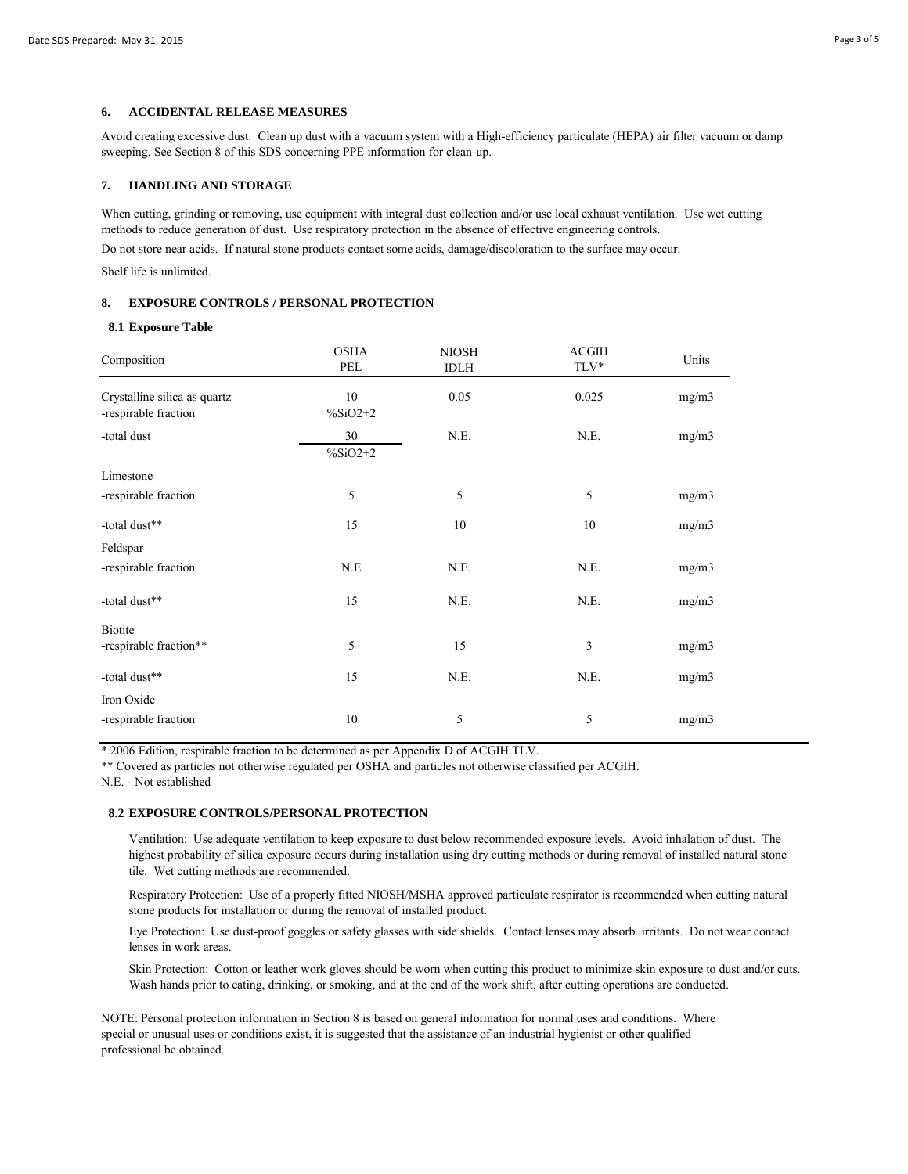## **6. ACCIDENTAL RELEASE MEASURES**

Avoid creating excessive dust. Clean up dust with a vacuum system with a High-efficiency particulate (HEPA) air filter vacuum or damp sweeping. See Section 8 of this SDS concerning PPE information for clean-up.

## **7. HANDLING AND STORAGE**

When cutting, grinding or removing, use equipment with integral dust collection and/or use local exhaust ventilation. Use wet cutting methods to reduce generation of dust. Use respiratory protection in the absence of effective engineering controls.

Do not store near acids. If natural stone products contact some acids, damage/discoloration to the surface may occur.

Shelf life is unlimited.

# **8. EXPOSURE CONTROLS / PERSONAL PROTECTION**

#### **8.1 Exposure Table**

| Composition                                          | <b>OSHA</b><br>PEL         | NIOSH<br><b>IDLH</b> | <b>ACGIH</b><br>TLV* | Units |
|------------------------------------------------------|----------------------------|----------------------|----------------------|-------|
| Crystalline silica as quartz<br>-respirable fraction | 10<br>$\frac{9}{6}$ SiO2+2 | 0.05                 | 0.025                | mg/m3 |
| -total dust                                          | 30<br>$\frac{9}{6}$ SiO2+2 | N.E.                 | N.E.                 | mg/m3 |
| Limestone                                            |                            |                      |                      |       |
| -respirable fraction                                 | 5                          | 5                    | 5                    | mg/m3 |
| -total dust**                                        | 15                         | 10                   | 10                   | mg/m3 |
| Feldspar                                             |                            |                      |                      |       |
| -respirable fraction                                 | N.E                        | N.E.                 | N.E.                 | mg/m3 |
| -total dust**                                        | 15                         | N.E.                 | N.E.                 | mg/m3 |
| <b>Biotite</b><br>-respirable fraction**             | 5                          | 15                   | 3                    | mg/m3 |
| -total dust**                                        | 15                         | N.E.                 | N.E.                 | mg/m3 |
| Iron Oxide                                           |                            |                      |                      |       |
| -respirable fraction                                 | $10\,$                     | 5                    | 5                    | mg/m3 |

\* 2006 Edition, respirable fraction to be determined as per Appendix D of ACGIH TLV.

\*\* Covered as particles not otherwise regulated per OSHA and particles not otherwise classified per ACGIH.

N.E. - Not established

#### **8.2 EXPOSURE CONTROLS/PERSONAL PROTECTION**

Ventilation: Use adequate ventilation to keep exposure to dust below recommended exposure levels. Avoid inhalation of dust. The highest probability of silica exposure occurs during installation using dry cutting methods or during removal of installed natural stone tile. Wet cutting methods are recommended.

Respiratory Protection: Use of a properly fitted NIOSH/MSHA approved particulate respirator is recommended when cutting natural stone products for installation or during the removal of installed product.

Eye Protection: Use dust-proof goggles or safety glasses with side shields. Contact lenses may absorb irritants. Do not wear contact lenses in work areas.

Skin Protection: Cotton or leather work gloves should be worn when cutting this product to minimize skin exposure to dust and/or cuts. Wash hands prior to eating, drinking, or smoking, and at the end of the work shift, after cutting operations are conducted.

NOTE: Personal protection information in Section 8 is based on general information for normal uses and conditions. Where special or unusual uses or conditions exist, it is suggested that the assistance of an industrial hygienist or other qualified professional be obtained.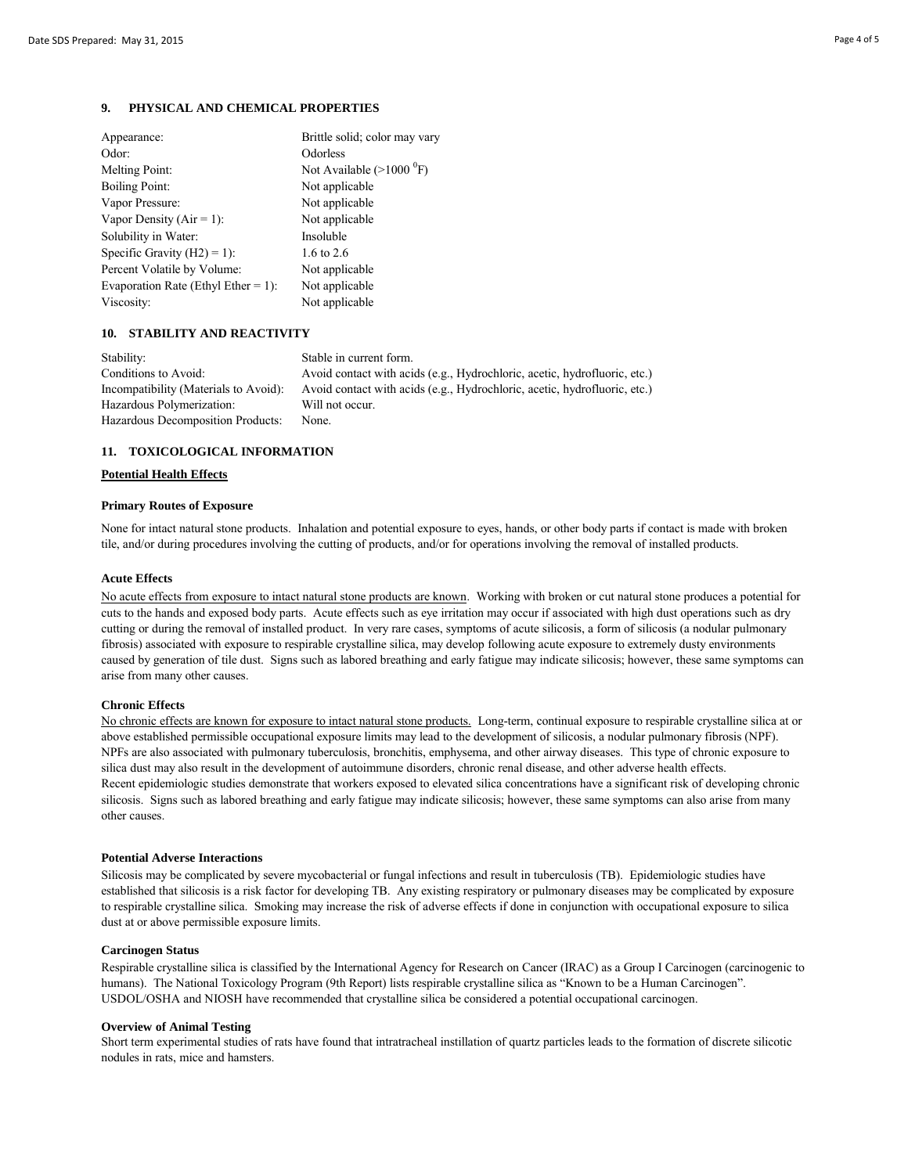# **9. PHYSICAL AND CHEMICAL PROPERTIES**

| Appearance:                         | Brittle solid; color may vary     |
|-------------------------------------|-----------------------------------|
| Odor:                               | Odorless                          |
| Melting Point:                      | Not Available $(>1000 \degree F)$ |
| <b>Boiling Point:</b>               | Not applicable                    |
| Vapor Pressure:                     | Not applicable                    |
| Vapor Density $(Air = 1)$ :         | Not applicable                    |
| Solubility in Water:                | Insoluble                         |
| Specific Gravity $(H2) = 1$ :       | 1.6 to 2.6                        |
| Percent Volatile by Volume:         | Not applicable                    |
| Evaporation Rate (Ethyl Ether = 1): | Not applicable                    |
| Viscosity:                          | Not applicable                    |

# **10. STABILITY AND REACTIVITY**

| Stability:                            | Stable in current form.                                                   |
|---------------------------------------|---------------------------------------------------------------------------|
| Conditions to Avoid:                  | Avoid contact with acids (e.g., Hydrochloric, acetic, hydrofluoric, etc.) |
| Incompatibility (Materials to Avoid): | Avoid contact with acids (e.g., Hydrochloric, acetic, hydrofluoric, etc.) |
| Hazardous Polymerization:             | Will not occur.                                                           |
| Hazardous Decomposition Products:     | None.                                                                     |

### **11. TOXICOLOGICAL INFORMATION**

## **Potential Health Effects**

### **Primary Routes of Exposure**

None for intact natural stone products. Inhalation and potential exposure to eyes, hands, or other body parts if contact is made with broken tile, and/or during procedures involving the cutting of products, and/or for operations involving the removal of installed products.

#### **Acute Effects**

No acute effects from exposure to intact natural stone products are known. Working with broken or cut natural stone produces a potential for cuts to the hands and exposed body parts. Acute effects such as eye irritation may occur if associated with high dust operations such as dry cutting or during the removal of installed product. In very rare cases, symptoms of acute silicosis, a form of silicosis (a nodular pulmonary fibrosis) associated with exposure to respirable crystalline silica, may develop following acute exposure to extremely dusty environments caused by generation of tile dust. Signs such as labored breathing and early fatigue may indicate silicosis; however, these same symptoms can arise from many other causes.

#### **Chronic Effects**

No chronic effects are known for exposure to intact natural stone products. Long-term, continual exposure to respirable crystalline silica at or above established permissible occupational exposure limits may lead to the development of silicosis, a nodular pulmonary fibrosis (NPF). NPFs are also associated with pulmonary tuberculosis, bronchitis, emphysema, and other airway diseases. This type of chronic exposure to silica dust may also result in the development of autoimmune disorders, chronic renal disease, and other adverse health effects. Recent epidemiologic studies demonstrate that workers exposed to elevated silica concentrations have a significant risk of developing chronic silicosis. Signs such as labored breathing and early fatigue may indicate silicosis; however, these same symptoms can also arise from many other causes.

## **Potential Adverse Interactions**

Silicosis may be complicated by severe mycobacterial or fungal infections and result in tuberculosis (TB). Epidemiologic studies have established that silicosis is a risk factor for developing TB. Any existing respiratory or pulmonary diseases may be complicated by exposure to respirable crystalline silica. Smoking may increase the risk of adverse effects if done in conjunction with occupational exposure to silica dust at or above permissible exposure limits.

## **Carcinogen Status**

Respirable crystalline silica is classified by the International Agency for Research on Cancer (IRAC) as a Group I Carcinogen (carcinogenic to humans). The National Toxicology Program (9th Report) lists respirable crystalline silica as "Known to be a Human Carcinogen". USDOL/OSHA and NIOSH have recommended that crystalline silica be considered a potential occupational carcinogen.

#### **Overview of Animal Testing**

Short term experimental studies of rats have found that intratracheal instillation of quartz particles leads to the formation of discrete silicotic nodules in rats, mice and hamsters.